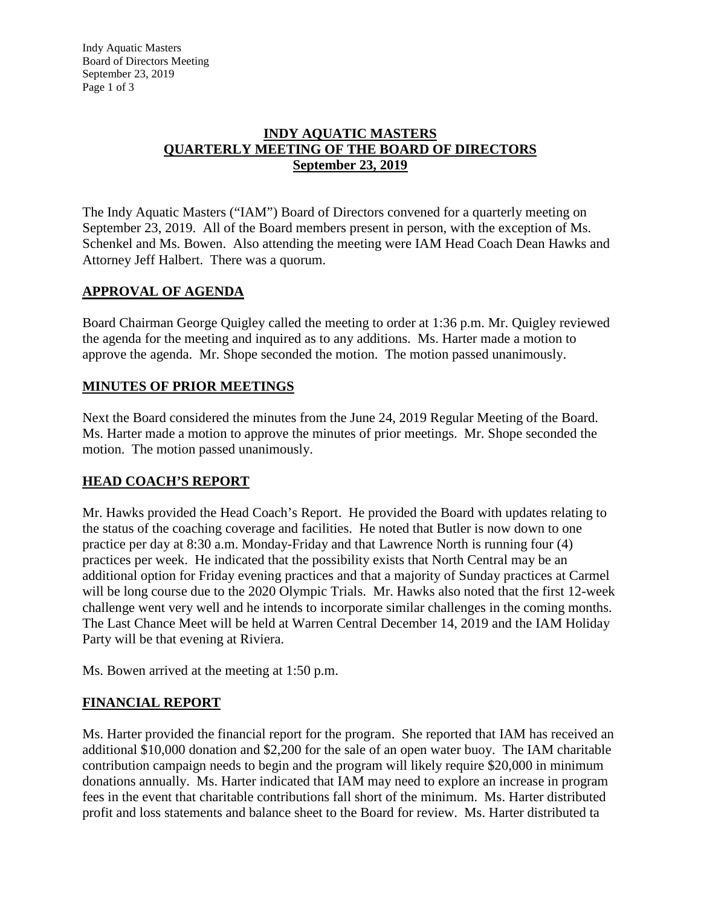#### **INDY AQUATIC MASTERS QUARTERLY MEETING OF THE BOARD OF DIRECTORS September 23, 2019**

The Indy Aquatic Masters ("IAM") Board of Directors convened for a quarterly meeting on September 23, 2019. All of the Board members present in person, with the exception of Ms. Schenkel and Ms. Bowen. Also attending the meeting were IAM Head Coach Dean Hawks and Attorney Jeff Halbert. There was a quorum.

## **APPROVAL OF AGENDA**

Board Chairman George Quigley called the meeting to order at 1:36 p.m. Mr. Quigley reviewed the agenda for the meeting and inquired as to any additions. Ms. Harter made a motion to approve the agenda. Mr. Shope seconded the motion. The motion passed unanimously.

## **MINUTES OF PRIOR MEETINGS**

Next the Board considered the minutes from the June 24, 2019 Regular Meeting of the Board. Ms. Harter made a motion to approve the minutes of prior meetings. Mr. Shope seconded the motion. The motion passed unanimously.

# **HEAD COACH'S REPORT**

Mr. Hawks provided the Head Coach's Report. He provided the Board with updates relating to the status of the coaching coverage and facilities. He noted that Butler is now down to one practice per day at 8:30 a.m. Monday-Friday and that Lawrence North is running four (4) practices per week. He indicated that the possibility exists that North Central may be an additional option for Friday evening practices and that a majority of Sunday practices at Carmel will be long course due to the 2020 Olympic Trials. Mr. Hawks also noted that the first 12-week challenge went very well and he intends to incorporate similar challenges in the coming months. The Last Chance Meet will be held at Warren Central December 14, 2019 and the IAM Holiday Party will be that evening at Riviera.

Ms. Bowen arrived at the meeting at 1:50 p.m.

## **FINANCIAL REPORT**

Ms. Harter provided the financial report for the program. She reported that IAM has received an additional \$10,000 donation and \$2,200 for the sale of an open water buoy. The IAM charitable contribution campaign needs to begin and the program will likely require \$20,000 in minimum donations annually. Ms. Harter indicated that IAM may need to explore an increase in program fees in the event that charitable contributions fall short of the minimum. Ms. Harter distributed profit and loss statements and balance sheet to the Board for review. Ms. Harter distributed ta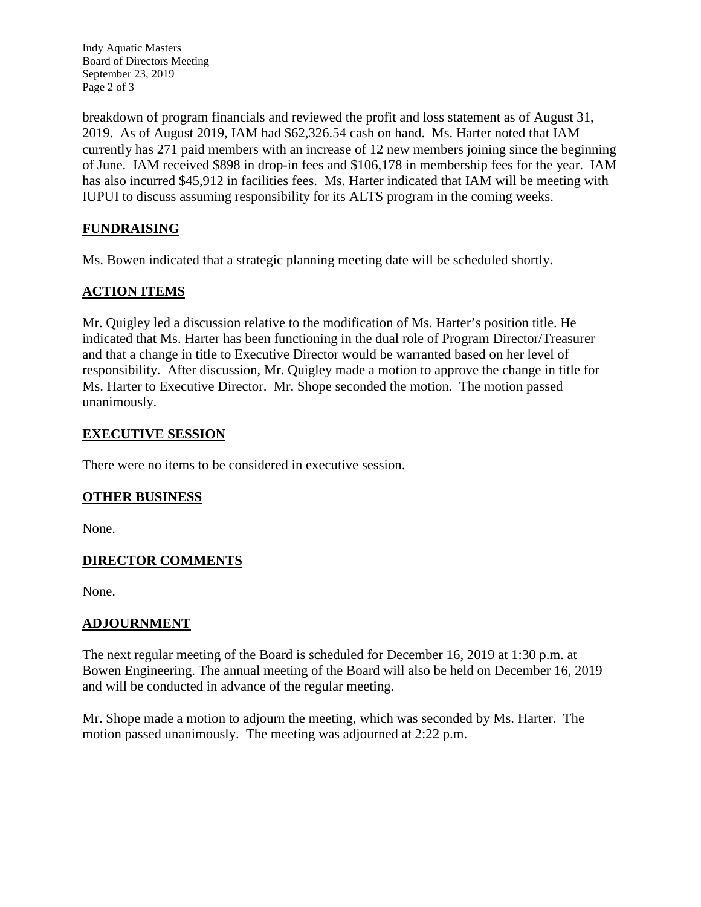Indy Aquatic Masters Board of Directors Meeting September 23, 2019 Page 2 of 3

breakdown of program financials and reviewed the profit and loss statement as of August 31, 2019. As of August 2019, IAM had \$62,326.54 cash on hand. Ms. Harter noted that IAM currently has 271 paid members with an increase of 12 new members joining since the beginning of June. IAM received \$898 in drop-in fees and \$106,178 in membership fees for the year. IAM has also incurred \$45,912 in facilities fees. Ms. Harter indicated that IAM will be meeting with IUPUI to discuss assuming responsibility for its ALTS program in the coming weeks.

# **FUNDRAISING**

Ms. Bowen indicated that a strategic planning meeting date will be scheduled shortly.

## **ACTION ITEMS**

Mr. Quigley led a discussion relative to the modification of Ms. Harter's position title. He indicated that Ms. Harter has been functioning in the dual role of Program Director/Treasurer and that a change in title to Executive Director would be warranted based on her level of responsibility. After discussion, Mr. Quigley made a motion to approve the change in title for Ms. Harter to Executive Director. Mr. Shope seconded the motion. The motion passed unanimously.

#### **EXECUTIVE SESSION**

There were no items to be considered in executive session.

## **OTHER BUSINESS**

None.

## **DIRECTOR COMMENTS**

None.

#### **ADJOURNMENT**

The next regular meeting of the Board is scheduled for December 16, 2019 at 1:30 p.m. at Bowen Engineering. The annual meeting of the Board will also be held on December 16, 2019 and will be conducted in advance of the regular meeting.

Mr. Shope made a motion to adjourn the meeting, which was seconded by Ms. Harter. The motion passed unanimously. The meeting was adjourned at 2:22 p.m.